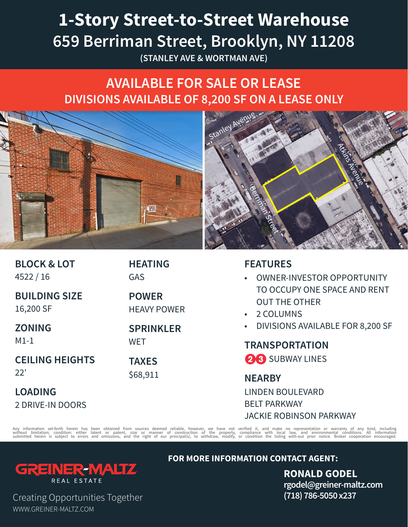## **1-Story Street-to-Street Warehouse 659 Berriman Street, Brooklyn, NY 11208**

**(STANLEY AVE & WORTMAN AVE)**

## **AVAILABLE FOR SALE OR LEASE DIVISIONS AVAILABLE OF 8,200 SF ON A LEASE ONLY**



| <b>BLOCK &amp; LOT</b><br>4522/16 | <b>HEATING</b><br><b>GAS</b>       | <b>FEATURES</b><br><b>OWNER-INVESTOR OPPORTUNITY</b><br>$\bullet$<br>TO OCCUPY ONE SPACE AND RENT<br><b>OUT THE OTHER</b><br>2 COLUMNS<br>$\bullet$ .<br>DIVISIONS AVAILABLE FOR 8,200 SF<br>$\bullet$<br><b>TRANSPORTATION</b><br>28 SUBWAY LINES |
|-----------------------------------|------------------------------------|----------------------------------------------------------------------------------------------------------------------------------------------------------------------------------------------------------------------------------------------------|
| <b>BUILDING SIZE</b><br>16,200 SF | <b>POWER</b><br><b>HEAVY POWER</b> |                                                                                                                                                                                                                                                    |
| <b>ZONING</b><br>$M1-1$           | <b>SPRINKLER</b><br><b>WET</b>     |                                                                                                                                                                                                                                                    |
| <b>CEILING HEIGHTS</b><br>22'     | <b>TAXES</b>                       |                                                                                                                                                                                                                                                    |
|                                   | \$68,911                           | <b>NEARBY</b>                                                                                                                                                                                                                                      |
| <b>LOADING</b>                    |                                    | <b>LINDEN BOULEVARD</b>                                                                                                                                                                                                                            |
| <b>2 DRIVE-IN DOORS</b>           |                                    | <b>BELT PARKWAY</b>                                                                                                                                                                                                                                |
|                                   |                                    | <b>JACKIE ROBINSON PARKWAY</b>                                                                                                                                                                                                                     |

Any information set-forth herein has been obtained from sources deemed reliable, however, we have not verified it, and make no representation or warranty of any kind, including<br>without limitation; condition: either laten o



**FOR MORE INFORMATION CONTACT AGENT:** 

**RONALD GODEL rgodel@greiner-maltz.com (718) 786-5050 x237**

Creating Opportunities Together WWW.GREINER-MALTZ.COM